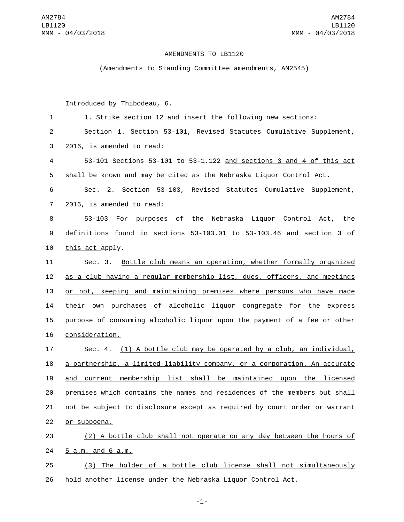## AMENDMENTS TO LB1120

(Amendments to Standing Committee amendments, AM2545)

Introduced by Thibodeau, 6.

 1. Strike section 12 and insert the following new sections: Section 1. Section 53-101, Revised Statutes Cumulative Supplement, 3 2016, is amended to read: 53-101 Sections 53-101 to 53-1,122 and sections 3 and 4 of this act shall be known and may be cited as the Nebraska Liquor Control Act. Sec. 2. Section 53-103, Revised Statutes Cumulative Supplement, 7 2016, is amended to read: 53-103 For purposes of the Nebraska Liquor Control Act, the definitions found in sections 53-103.01 to 53-103.46 and section 3 of 10 this act apply. Sec. 3. Bottle club means an operation, whether formally organized as a club having a regular membership list, dues, officers, and meetings or not, keeping and maintaining premises where persons who have made their own purchases of alcoholic liquor congregate for the express purpose of consuming alcoholic liquor upon the payment of a fee or other 16 consideration. Sec. 4. (1) A bottle club may be operated by a club, an individual, a partnership, a limited liability company, or a corporation. An accurate and current membership list shall be maintained upon the licensed premises which contains the names and residences of the members but shall not be subject to disclosure except as required by court order or warrant 22 or subpoena. (2) A bottle club shall not operate on any day between the hours of 5 a.m. and 6 a.m.24 (3) The holder of a bottle club license shall not simultaneously

26 hold another license under the Nebraska Liquor Control Act.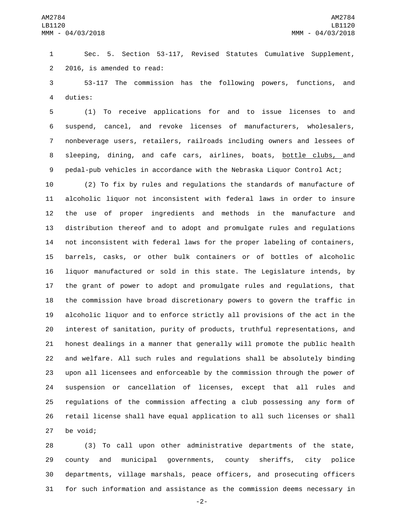Sec. 5. Section 53-117, Revised Statutes Cumulative Supplement, 2 2016, is amended to read:

 53-117 The commission has the following powers, functions, and 4 duties:

 (1) To receive applications for and to issue licenses to and suspend, cancel, and revoke licenses of manufacturers, wholesalers, nonbeverage users, retailers, railroads including owners and lessees of 8 sleeping, dining, and cafe cars, airlines, boats, bottle clubs, and pedal-pub vehicles in accordance with the Nebraska Liquor Control Act;

 (2) To fix by rules and regulations the standards of manufacture of alcoholic liquor not inconsistent with federal laws in order to insure the use of proper ingredients and methods in the manufacture and distribution thereof and to adopt and promulgate rules and regulations not inconsistent with federal laws for the proper labeling of containers, barrels, casks, or other bulk containers or of bottles of alcoholic liquor manufactured or sold in this state. The Legislature intends, by the grant of power to adopt and promulgate rules and regulations, that the commission have broad discretionary powers to govern the traffic in alcoholic liquor and to enforce strictly all provisions of the act in the interest of sanitation, purity of products, truthful representations, and honest dealings in a manner that generally will promote the public health and welfare. All such rules and regulations shall be absolutely binding upon all licensees and enforceable by the commission through the power of suspension or cancellation of licenses, except that all rules and regulations of the commission affecting a club possessing any form of retail license shall have equal application to all such licenses or shall 27 be void;

 (3) To call upon other administrative departments of the state, county and municipal governments, county sheriffs, city police departments, village marshals, peace officers, and prosecuting officers for such information and assistance as the commission deems necessary in

-2-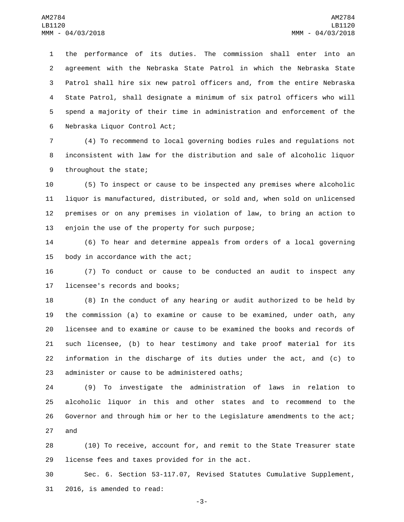the performance of its duties. The commission shall enter into an agreement with the Nebraska State Patrol in which the Nebraska State Patrol shall hire six new patrol officers and, from the entire Nebraska State Patrol, shall designate a minimum of six patrol officers who will spend a majority of their time in administration and enforcement of the 6 Nebraska Liquor Control Act;

7 (4) To recommend to local governing bodies rules and regulations not 8 inconsistent with law for the distribution and sale of alcoholic liquor 9 throughout the state;

 (5) To inspect or cause to be inspected any premises where alcoholic liquor is manufactured, distributed, or sold and, when sold on unlicensed premises or on any premises in violation of law, to bring an action to 13 enjoin the use of the property for such purpose;

14 (6) To hear and determine appeals from orders of a local governing 15 body in accordance with the act;

16 (7) To conduct or cause to be conducted an audit to inspect any 17 licensee's records and books;

 (8) In the conduct of any hearing or audit authorized to be held by the commission (a) to examine or cause to be examined, under oath, any licensee and to examine or cause to be examined the books and records of such licensee, (b) to hear testimony and take proof material for its information in the discharge of its duties under the act, and (c) to 23 administer or cause to be administered oaths;

 (9) To investigate the administration of laws in relation to alcoholic liquor in this and other states and to recommend to the Governor and through him or her to the Legislature amendments to the act; 27 and

28 (10) To receive, account for, and remit to the State Treasurer state 29 license fees and taxes provided for in the act.

30 Sec. 6. Section 53-117.07, Revised Statutes Cumulative Supplement, 31 2016, is amended to read:

-3-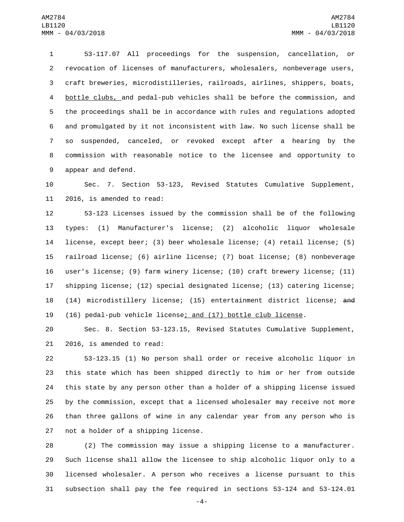53-117.07 All proceedings for the suspension, cancellation, or revocation of licenses of manufacturers, wholesalers, nonbeverage users, craft breweries, microdistilleries, railroads, airlines, shippers, boats, bottle clubs, and pedal-pub vehicles shall be before the commission, and the proceedings shall be in accordance with rules and regulations adopted and promulgated by it not inconsistent with law. No such license shall be so suspended, canceled, or revoked except after a hearing by the commission with reasonable notice to the licensee and opportunity to 9 appear and defend.

 Sec. 7. Section 53-123, Revised Statutes Cumulative Supplement, 11 2016, is amended to read:

 53-123 Licenses issued by the commission shall be of the following types: (1) Manufacturer's license; (2) alcoholic liquor wholesale license, except beer; (3) beer wholesale license; (4) retail license; (5) railroad license; (6) airline license; (7) boat license; (8) nonbeverage user's license; (9) farm winery license; (10) craft brewery license; (11) shipping license; (12) special designated license; (13) catering license; (14) microdistillery license; (15) entertainment district license; and (16) pedal-pub vehicle license; and (17) bottle club license.

 Sec. 8. Section 53-123.15, Revised Statutes Cumulative Supplement,  $2016$ , is amended to read:

 53-123.15 (1) No person shall order or receive alcoholic liquor in this state which has been shipped directly to him or her from outside this state by any person other than a holder of a shipping license issued by the commission, except that a licensed wholesaler may receive not more than three gallons of wine in any calendar year from any person who is 27 not a holder of a shipping license.

 (2) The commission may issue a shipping license to a manufacturer. Such license shall allow the licensee to ship alcoholic liquor only to a licensed wholesaler. A person who receives a license pursuant to this subsection shall pay the fee required in sections 53-124 and 53-124.01

-4-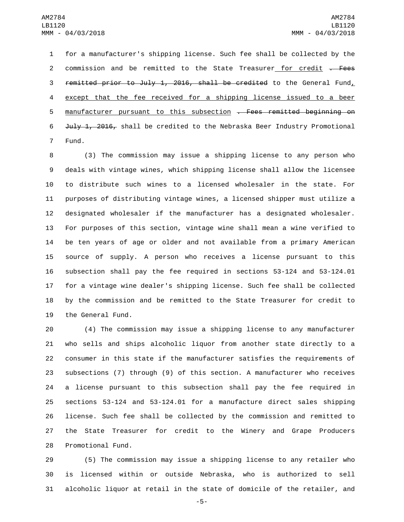for a manufacturer's shipping license. Such fee shall be collected by the 2 commission and be remitted to the State Treasurer for credit . Fees 3 remitted prior to July 1, 2016, shall be credited to the General Fund, except that the fee received for a shipping license issued to a beer 5 manufacturer pursuant to this subsection . Fees remitted beginning on 6 July 1, 2016, shall be credited to the Nebraska Beer Industry Promotional 7 Fund.

 (3) The commission may issue a shipping license to any person who deals with vintage wines, which shipping license shall allow the licensee to distribute such wines to a licensed wholesaler in the state. For purposes of distributing vintage wines, a licensed shipper must utilize a designated wholesaler if the manufacturer has a designated wholesaler. For purposes of this section, vintage wine shall mean a wine verified to be ten years of age or older and not available from a primary American source of supply. A person who receives a license pursuant to this subsection shall pay the fee required in sections 53-124 and 53-124.01 for a vintage wine dealer's shipping license. Such fee shall be collected by the commission and be remitted to the State Treasurer for credit to 19 the General Fund.

 (4) The commission may issue a shipping license to any manufacturer who sells and ships alcoholic liquor from another state directly to a consumer in this state if the manufacturer satisfies the requirements of subsections (7) through (9) of this section. A manufacturer who receives a license pursuant to this subsection shall pay the fee required in sections 53-124 and 53-124.01 for a manufacture direct sales shipping license. Such fee shall be collected by the commission and remitted to the State Treasurer for credit to the Winery and Grape Producers 28 Promotional Fund.

 (5) The commission may issue a shipping license to any retailer who is licensed within or outside Nebraska, who is authorized to sell alcoholic liquor at retail in the state of domicile of the retailer, and

-5-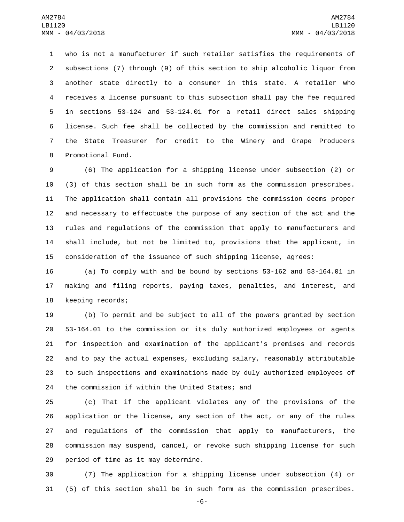who is not a manufacturer if such retailer satisfies the requirements of subsections (7) through (9) of this section to ship alcoholic liquor from another state directly to a consumer in this state. A retailer who receives a license pursuant to this subsection shall pay the fee required in sections 53-124 and 53-124.01 for a retail direct sales shipping license. Such fee shall be collected by the commission and remitted to the State Treasurer for credit to the Winery and Grape Producers 8 Promotional Fund.

 (6) The application for a shipping license under subsection (2) or (3) of this section shall be in such form as the commission prescribes. The application shall contain all provisions the commission deems proper and necessary to effectuate the purpose of any section of the act and the rules and regulations of the commission that apply to manufacturers and shall include, but not be limited to, provisions that the applicant, in consideration of the issuance of such shipping license, agrees:

 (a) To comply with and be bound by sections 53-162 and 53-164.01 in making and filing reports, paying taxes, penalties, and interest, and 18 keeping records;

 (b) To permit and be subject to all of the powers granted by section 53-164.01 to the commission or its duly authorized employees or agents for inspection and examination of the applicant's premises and records and to pay the actual expenses, excluding salary, reasonably attributable to such inspections and examinations made by duly authorized employees of 24 the commission if within the United States; and

 (c) That if the applicant violates any of the provisions of the application or the license, any section of the act, or any of the rules and regulations of the commission that apply to manufacturers, the commission may suspend, cancel, or revoke such shipping license for such 29 period of time as it may determine.

 (7) The application for a shipping license under subsection (4) or (5) of this section shall be in such form as the commission prescribes.

-6-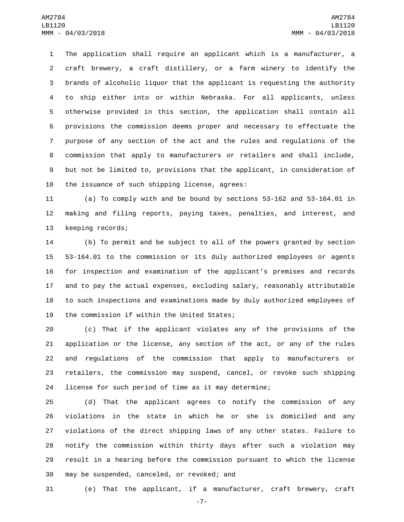The application shall require an applicant which is a manufacturer, a craft brewery, a craft distillery, or a farm winery to identify the brands of alcoholic liquor that the applicant is requesting the authority to ship either into or within Nebraska. For all applicants, unless otherwise provided in this section, the application shall contain all provisions the commission deems proper and necessary to effectuate the purpose of any section of the act and the rules and regulations of the commission that apply to manufacturers or retailers and shall include, but not be limited to, provisions that the applicant, in consideration of 10 the issuance of such shipping license, agrees:

 (a) To comply with and be bound by sections 53-162 and 53-164.01 in making and filing reports, paying taxes, penalties, and interest, and 13 keeping records;

 (b) To permit and be subject to all of the powers granted by section 53-164.01 to the commission or its duly authorized employees or agents for inspection and examination of the applicant's premises and records and to pay the actual expenses, excluding salary, reasonably attributable to such inspections and examinations made by duly authorized employees of 19 the commission if within the United States;

 (c) That if the applicant violates any of the provisions of the application or the license, any section of the act, or any of the rules and regulations of the commission that apply to manufacturers or retailers, the commission may suspend, cancel, or revoke such shipping license for such period of time as it may determine;

 (d) That the applicant agrees to notify the commission of any violations in the state in which he or she is domiciled and any violations of the direct shipping laws of any other states. Failure to notify the commission within thirty days after such a violation may result in a hearing before the commission pursuant to which the license 30 may be suspended, canceled, or revoked; and

(e) That the applicant, if a manufacturer, craft brewery, craft

-7-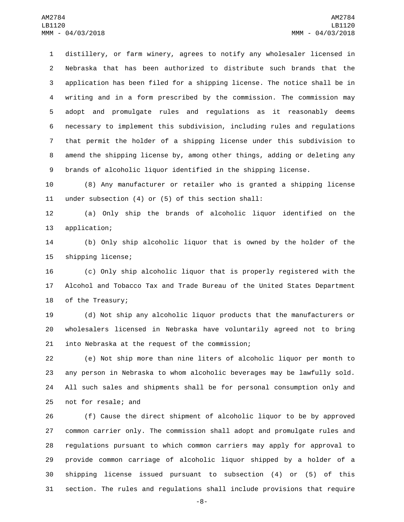distillery, or farm winery, agrees to notify any wholesaler licensed in Nebraska that has been authorized to distribute such brands that the application has been filed for a shipping license. The notice shall be in writing and in a form prescribed by the commission. The commission may adopt and promulgate rules and regulations as it reasonably deems necessary to implement this subdivision, including rules and regulations that permit the holder of a shipping license under this subdivision to amend the shipping license by, among other things, adding or deleting any brands of alcoholic liquor identified in the shipping license.

 (8) Any manufacturer or retailer who is granted a shipping license under subsection (4) or (5) of this section shall:

 (a) Only ship the brands of alcoholic liquor identified on the 13 application;

 (b) Only ship alcoholic liquor that is owned by the holder of the 15 shipping license;

 (c) Only ship alcoholic liquor that is properly registered with the Alcohol and Tobacco Tax and Trade Bureau of the United States Department 18 of the Treasury;

 (d) Not ship any alcoholic liquor products that the manufacturers or wholesalers licensed in Nebraska have voluntarily agreed not to bring 21 into Nebraska at the request of the commission;

 (e) Not ship more than nine liters of alcoholic liquor per month to any person in Nebraska to whom alcoholic beverages may be lawfully sold. All such sales and shipments shall be for personal consumption only and 25 not for resale; and

 (f) Cause the direct shipment of alcoholic liquor to be by approved common carrier only. The commission shall adopt and promulgate rules and regulations pursuant to which common carriers may apply for approval to provide common carriage of alcoholic liquor shipped by a holder of a shipping license issued pursuant to subsection (4) or (5) of this section. The rules and regulations shall include provisions that require

-8-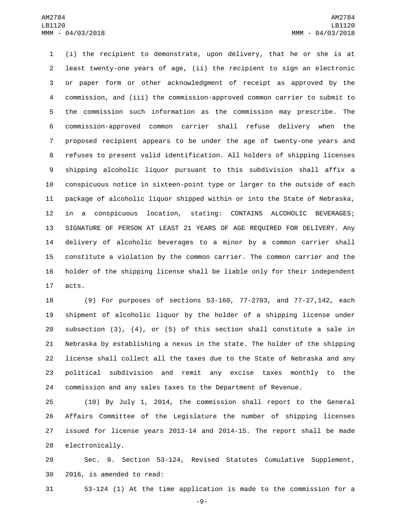(i) the recipient to demonstrate, upon delivery, that he or she is at least twenty-one years of age, (ii) the recipient to sign an electronic or paper form or other acknowledgment of receipt as approved by the commission, and (iii) the commission-approved common carrier to submit to the commission such information as the commission may prescribe. The commission-approved common carrier shall refuse delivery when the proposed recipient appears to be under the age of twenty-one years and refuses to present valid identification. All holders of shipping licenses shipping alcoholic liquor pursuant to this subdivision shall affix a conspicuous notice in sixteen-point type or larger to the outside of each package of alcoholic liquor shipped within or into the State of Nebraska, in a conspicuous location, stating: CONTAINS ALCOHOLIC BEVERAGES; SIGNATURE OF PERSON AT LEAST 21 YEARS OF AGE REQUIRED FOR DELIVERY. Any delivery of alcoholic beverages to a minor by a common carrier shall constitute a violation by the common carrier. The common carrier and the holder of the shipping license shall be liable only for their independent 17 acts.

 (9) For purposes of sections 53-160, 77-2703, and 77-27,142, each shipment of alcoholic liquor by the holder of a shipping license under subsection (3), (4), or (5) of this section shall constitute a sale in Nebraska by establishing a nexus in the state. The holder of the shipping license shall collect all the taxes due to the State of Nebraska and any political subdivision and remit any excise taxes monthly to the commission and any sales taxes to the Department of Revenue.

 (10) By July 1, 2014, the commission shall report to the General Affairs Committee of the Legislature the number of shipping licenses issued for license years 2013-14 and 2014-15. The report shall be made 28 electronically.

 Sec. 9. Section 53-124, Revised Statutes Cumulative Supplement, 30 2016, is amended to read:

53-124 (1) At the time application is made to the commission for a

-9-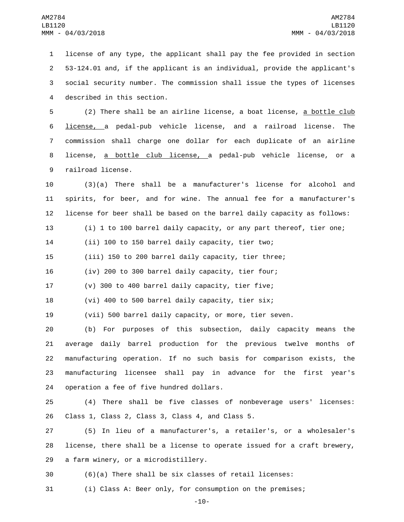license of any type, the applicant shall pay the fee provided in section 53-124.01 and, if the applicant is an individual, provide the applicant's social security number. The commission shall issue the types of licenses 4 described in this section.

 (2) There shall be an airline license, a boat license, a bottle club license, a pedal-pub vehicle license, and a railroad license. The commission shall charge one dollar for each duplicate of an airline license, a bottle club license, a pedal-pub vehicle license, or a 9 railroad license.

 (3)(a) There shall be a manufacturer's license for alcohol and spirits, for beer, and for wine. The annual fee for a manufacturer's license for beer shall be based on the barrel daily capacity as follows:

(i) 1 to 100 barrel daily capacity, or any part thereof, tier one;

(ii) 100 to 150 barrel daily capacity, tier two;

(iii) 150 to 200 barrel daily capacity, tier three;

(iv) 200 to 300 barrel daily capacity, tier four;

(v) 300 to 400 barrel daily capacity, tier five;

(vi) 400 to 500 barrel daily capacity, tier six;

(vii) 500 barrel daily capacity, or more, tier seven.

 (b) For purposes of this subsection, daily capacity means the average daily barrel production for the previous twelve months of manufacturing operation. If no such basis for comparison exists, the manufacturing licensee shall pay in advance for the first year's 24 operation a fee of five hundred dollars.

 (4) There shall be five classes of nonbeverage users' licenses: 26 Class 1, Class 2, Class 3, Class 4, and Class 5.

 (5) In lieu of a manufacturer's, a retailer's, or a wholesaler's license, there shall be a license to operate issued for a craft brewery, 29 a farm winery, or a microdistillery.

(6)(a) There shall be six classes of retail licenses:

(i) Class A: Beer only, for consumption on the premises;

-10-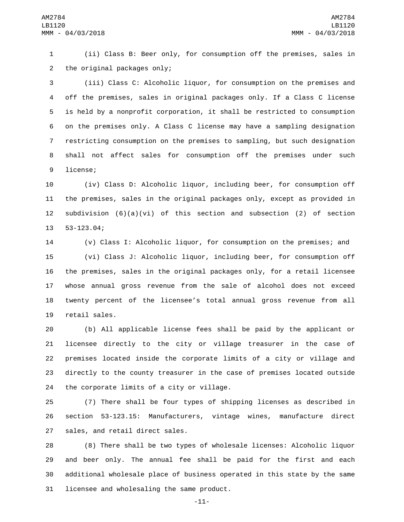(ii) Class B: Beer only, for consumption off the premises, sales in 2 the original packages only;

 (iii) Class C: Alcoholic liquor, for consumption on the premises and off the premises, sales in original packages only. If a Class C license is held by a nonprofit corporation, it shall be restricted to consumption on the premises only. A Class C license may have a sampling designation restricting consumption on the premises to sampling, but such designation shall not affect sales for consumption off the premises under such 9 license;

 (iv) Class D: Alcoholic liquor, including beer, for consumption off the premises, sales in the original packages only, except as provided in subdivision (6)(a)(vi) of this section and subsection (2) of section 13 53-123.04;

 (v) Class I: Alcoholic liquor, for consumption on the premises; and (vi) Class J: Alcoholic liquor, including beer, for consumption off the premises, sales in the original packages only, for a retail licensee whose annual gross revenue from the sale of alcohol does not exceed twenty percent of the licensee's total annual gross revenue from all 19 retail sales.

 (b) All applicable license fees shall be paid by the applicant or licensee directly to the city or village treasurer in the case of premises located inside the corporate limits of a city or village and directly to the county treasurer in the case of premises located outside 24 the corporate limits of a city or village.

 (7) There shall be four types of shipping licenses as described in section 53-123.15: Manufacturers, vintage wines, manufacture direct 27 sales, and retail direct sales.

 (8) There shall be two types of wholesale licenses: Alcoholic liquor and beer only. The annual fee shall be paid for the first and each additional wholesale place of business operated in this state by the same 31 licensee and wholesaling the same product.

-11-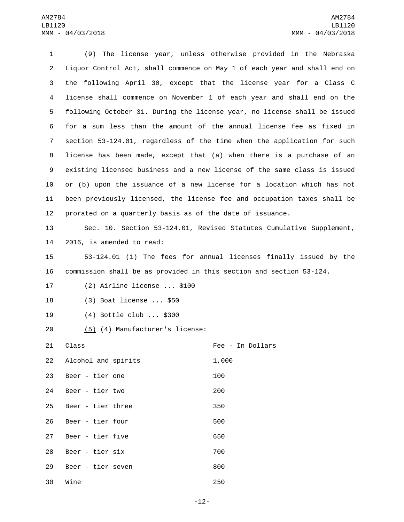1 (9) The license year, unless otherwise provided in the Nebraska 2 Liquor Control Act, shall commence on May 1 of each year and shall end on 3 the following April 30, except that the license year for a Class C 4 license shall commence on November 1 of each year and shall end on the 5 following October 31. During the license year, no license shall be issued 6 for a sum less than the amount of the annual license fee as fixed in 7 section 53-124.01, regardless of the time when the application for such 8 license has been made, except that (a) when there is a purchase of an 9 existing licensed business and a new license of the same class is issued 10 or (b) upon the issuance of a new license for a location which has not 11 been previously licensed, the license fee and occupation taxes shall be 12 prorated on a quarterly basis as of the date of issuance. 13 Sec. 10. Section 53-124.01, Revised Statutes Cumulative Supplement, 14 2016, is amended to read: 15 53-124.01 (1) The fees for annual licenses finally issued by the 16 commission shall be as provided in this section and section 53-124. 17 (2) Airline license ... \$100 18 (3) Boat license ... \$50 19 (4) Bottle club ... \$300 20 (5) (4) Manufacturer's license: 21 Class **Class Class Fee** - In Dollars 22 Alcohol and spirits 1,000 23 Beer - tier one 23 200 24 Beer - tier two 200 25 Beer - tier three<br>25 350 26 Beer - tier four<br>26 Beer - tier four 27 Beer - tier five<br>27 Beer - tier five 28 Beer - tier six 700 29 Beer - tier seven and the seven and the seven and seven and seven and seven and seven and seven and seven 30 Wine 250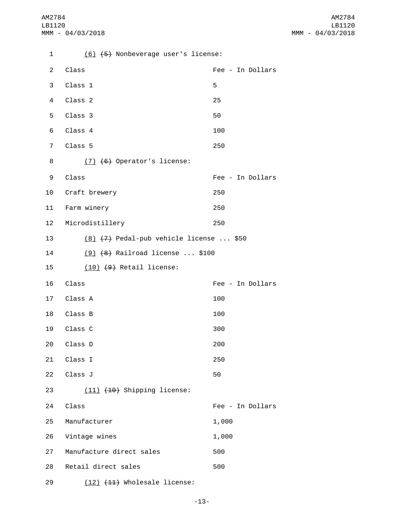1 (6) (5) Nonbeverage user's license: 2 Class **Fee - In Dollars**  $3$  Class 1  $5$ 4 Class 2 25 5 Class 3 50 6 Class 4 100 7 Class 5 250  $(7)$   $(6)$  Operator's license: 9 Class **Fee** - In Dollars 10 Craft brewery 250 11 Farm winery **11 250** 12 Microdistillery 250 13 (8) (7) Pedal-pub vehicle license ... \$50 14 (9) (8) Railroad license ... \$100 15 (10) (9) Retail license: Class16 Fee - In Dollars 17 Class A<sup>100</sup> 18 Class B<sub>18</sub> 100 19 Class C 300 20 Class D<sub>200</sub> 21 Class I 250 22 Class J 50 23 (11) (10) Shipping license: 24 Class **Fee - In Dollars** 25 Manufacturer 25 1,000 26 Vintage wines 26 1,000 27 Manufacture direct sales<br>27 Manufacture direct sales 28 Retail direct sales 500 29 (12) (11) Wholesale license: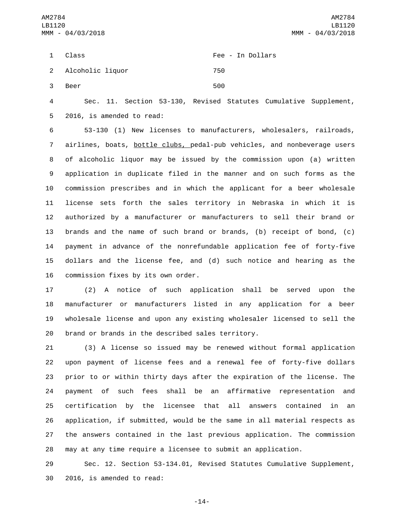|    | 1 Class            | Fee - In Dollars |
|----|--------------------|------------------|
|    | 2 Alcoholic liquor | 750              |
| 3. | Beer               | 500              |

 Sec. 11. Section 53-130, Revised Statutes Cumulative Supplement, 5 2016, is amended to read:

 53-130 (1) New licenses to manufacturers, wholesalers, railroads, airlines, boats, bottle clubs, pedal-pub vehicles, and nonbeverage users of alcoholic liquor may be issued by the commission upon (a) written application in duplicate filed in the manner and on such forms as the commission prescribes and in which the applicant for a beer wholesale license sets forth the sales territory in Nebraska in which it is authorized by a manufacturer or manufacturers to sell their brand or brands and the name of such brand or brands, (b) receipt of bond, (c) payment in advance of the nonrefundable application fee of forty-five dollars and the license fee, and (d) such notice and hearing as the 16 commission fixes by its own order.

 (2) A notice of such application shall be served upon the manufacturer or manufacturers listed in any application for a beer wholesale license and upon any existing wholesaler licensed to sell the 20 brand or brands in the described sales territory.

 (3) A license so issued may be renewed without formal application upon payment of license fees and a renewal fee of forty-five dollars prior to or within thirty days after the expiration of the license. The payment of such fees shall be an affirmative representation and certification by the licensee that all answers contained in an application, if submitted, would be the same in all material respects as the answers contained in the last previous application. The commission may at any time require a licensee to submit an application.

 Sec. 12. Section 53-134.01, Revised Statutes Cumulative Supplement, 30 2016, is amended to read:

-14-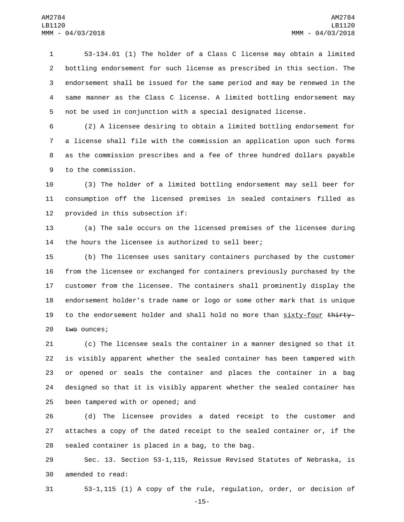53-134.01 (1) The holder of a Class C license may obtain a limited bottling endorsement for such license as prescribed in this section. The endorsement shall be issued for the same period and may be renewed in the same manner as the Class C license. A limited bottling endorsement may not be used in conjunction with a special designated license.

 (2) A licensee desiring to obtain a limited bottling endorsement for a license shall file with the commission an application upon such forms as the commission prescribes and a fee of three hundred dollars payable 9 to the commission.

 (3) The holder of a limited bottling endorsement may sell beer for consumption off the licensed premises in sealed containers filled as 12 provided in this subsection if:

 (a) The sale occurs on the licensed premises of the licensee during the hours the licensee is authorized to sell beer;

 (b) The licensee uses sanitary containers purchased by the customer from the licensee or exchanged for containers previously purchased by the customer from the licensee. The containers shall prominently display the endorsement holder's trade name or logo or some other mark that is unique 19 to the endorsement holder and shall hold no more than sixty-four thirty-20 two ounces;

 (c) The licensee seals the container in a manner designed so that it is visibly apparent whether the sealed container has been tampered with or opened or seals the container and places the container in a bag designed so that it is visibly apparent whether the sealed container has 25 been tampered with or opened; and

 (d) The licensee provides a dated receipt to the customer and attaches a copy of the dated receipt to the sealed container or, if the sealed container is placed in a bag, to the bag.

 Sec. 13. Section 53-1,115, Reissue Revised Statutes of Nebraska, is 30 amended to read:

53-1,115 (1) A copy of the rule, regulation, order, or decision of

-15-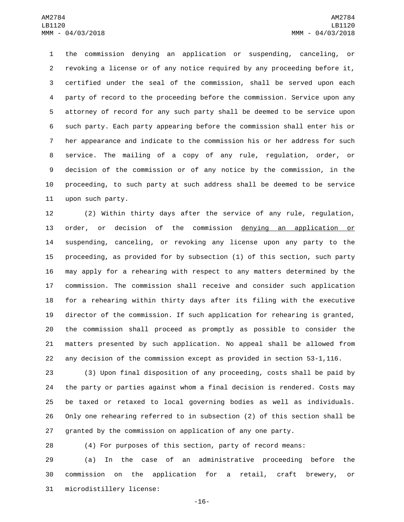the commission denying an application or suspending, canceling, or revoking a license or of any notice required by any proceeding before it, certified under the seal of the commission, shall be served upon each party of record to the proceeding before the commission. Service upon any attorney of record for any such party shall be deemed to be service upon such party. Each party appearing before the commission shall enter his or her appearance and indicate to the commission his or her address for such service. The mailing of a copy of any rule, regulation, order, or decision of the commission or of any notice by the commission, in the proceeding, to such party at such address shall be deemed to be service 11 upon such party.

 (2) Within thirty days after the service of any rule, regulation, order, or decision of the commission denying an application or suspending, canceling, or revoking any license upon any party to the proceeding, as provided for by subsection (1) of this section, such party may apply for a rehearing with respect to any matters determined by the commission. The commission shall receive and consider such application for a rehearing within thirty days after its filing with the executive director of the commission. If such application for rehearing is granted, the commission shall proceed as promptly as possible to consider the matters presented by such application. No appeal shall be allowed from any decision of the commission except as provided in section 53-1,116.

 (3) Upon final disposition of any proceeding, costs shall be paid by the party or parties against whom a final decision is rendered. Costs may be taxed or retaxed to local governing bodies as well as individuals. Only one rehearing referred to in subsection (2) of this section shall be granted by the commission on application of any one party.

(4) For purposes of this section, party of record means:

 (a) In the case of an administrative proceeding before the commission on the application for a retail, craft brewery, or 31 microdistillery license:

-16-